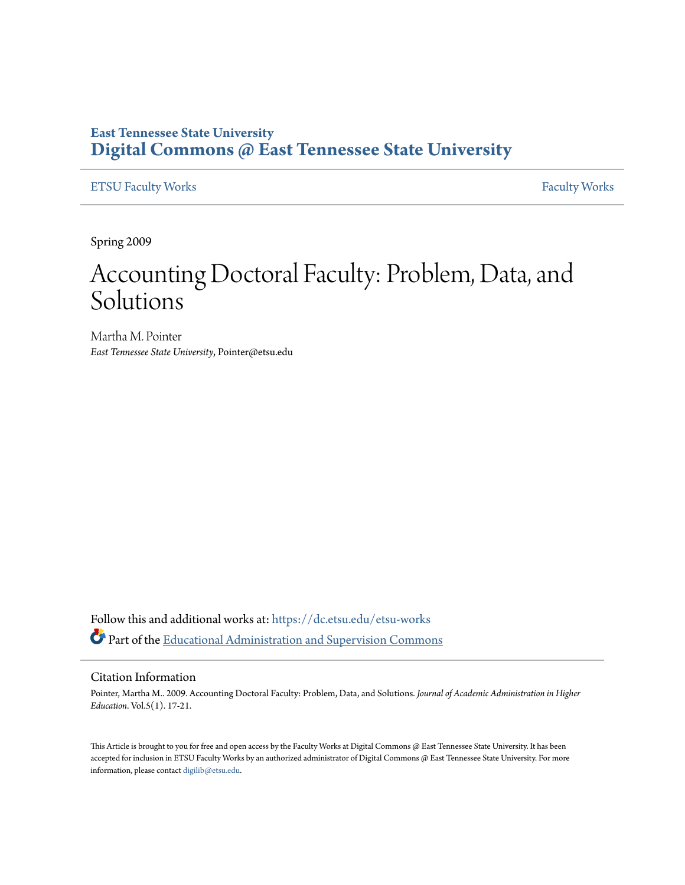## **East Tennessee State University [Digital Commons @ East Tennessee State University](https://dc.etsu.edu?utm_source=dc.etsu.edu%2Fetsu-works%2F2995&utm_medium=PDF&utm_campaign=PDFCoverPages)**

[ETSU Faculty Works](https://dc.etsu.edu/etsu-works?utm_source=dc.etsu.edu%2Fetsu-works%2F2995&utm_medium=PDF&utm_campaign=PDFCoverPages) [Faculty Works](https://dc.etsu.edu/faculty-works?utm_source=dc.etsu.edu%2Fetsu-works%2F2995&utm_medium=PDF&utm_campaign=PDFCoverPages) Faculty Works

Spring 2009

# Accounting Doctoral Faculty: Problem, Data, and Solutions

Martha M. Pointer *East Tennessee State University*, Pointer@etsu.edu

Follow this and additional works at: [https://dc.etsu.edu/etsu-works](https://dc.etsu.edu/etsu-works?utm_source=dc.etsu.edu%2Fetsu-works%2F2995&utm_medium=PDF&utm_campaign=PDFCoverPages) Part of the [Educational Administration and Supervision Commons](http://network.bepress.com/hgg/discipline/787?utm_source=dc.etsu.edu%2Fetsu-works%2F2995&utm_medium=PDF&utm_campaign=PDFCoverPages)

#### Citation Information

Pointer, Martha M.. 2009. Accounting Doctoral Faculty: Problem, Data, and Solutions. *Journal of Academic Administration in Higher Education*. Vol.5(1). 17-21.

This Article is brought to you for free and open access by the Faculty Works at Digital Commons @ East Tennessee State University. It has been accepted for inclusion in ETSU Faculty Works by an authorized administrator of Digital Commons @ East Tennessee State University. For more information, please contact [digilib@etsu.edu.](mailto:digilib@etsu.edu)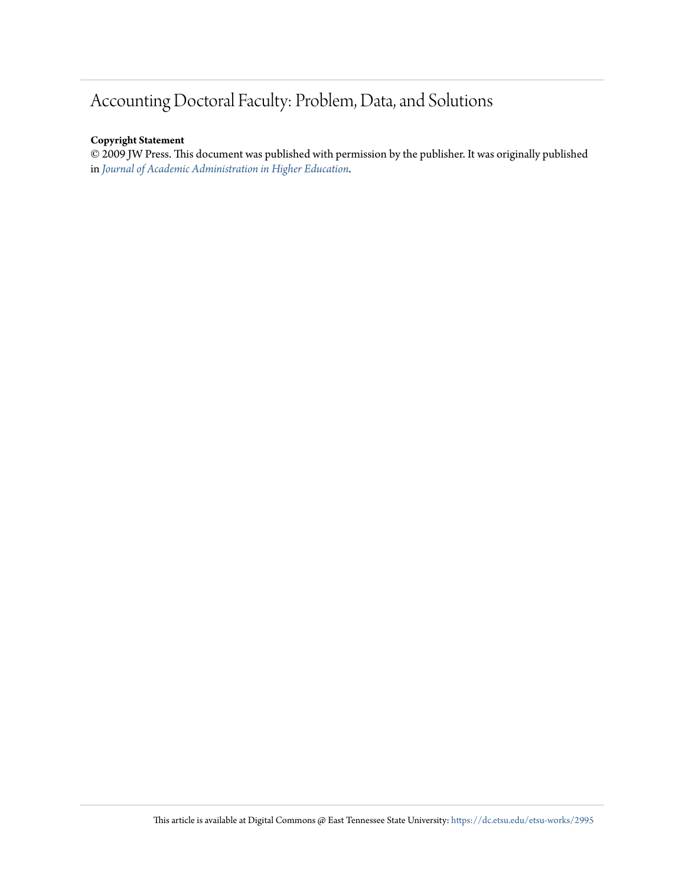# Accounting Doctoral Faculty: Problem, Data, and Solutions

#### **Copyright Statement**

© 2009 JW Press. This document was published with permission by the publisher. It was originally published in *[Journal of Academic Administration in Higher Education](http://jwpress.com/JAAHE/JAAHE.htm)*.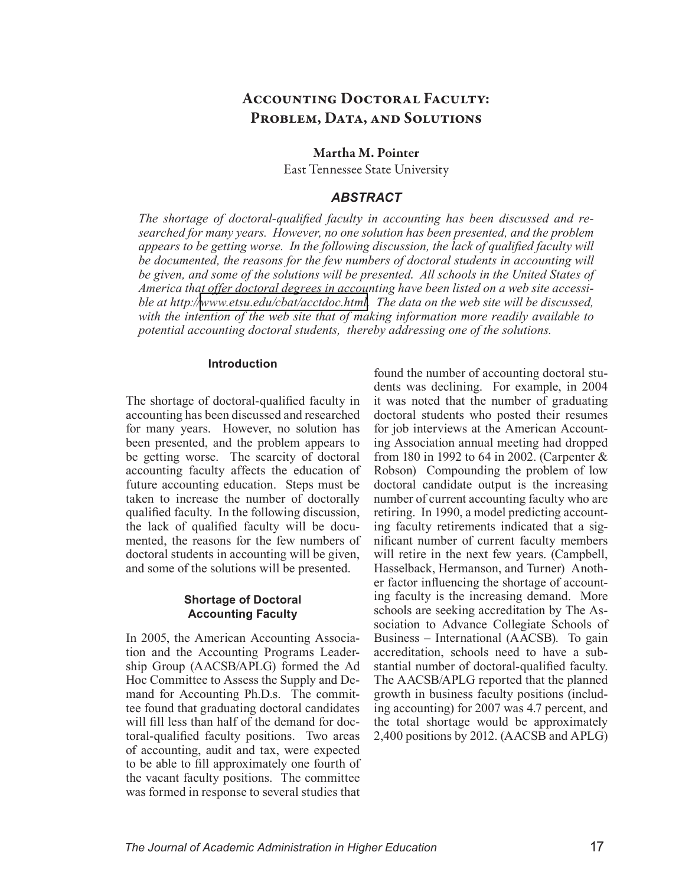### ACCOUNTING DOCTORAL FACULTY: PROBLEM, DATA, AND SOLUTIONS

Martha M. Pointer

East Tennessee State University

#### *ABSTRACT*

*The shortage of doctoral-qualified faculty in accounting has been discussed and researched for many years. However, no one solution has been presented, and the problem appears to be getting worse. In the following discussion, the lack of qualified faculty will*  be documented, the reasons for the few numbers of doctoral students in accounting will *be given, and some of the solutions will be presented. All schools in the United States of America that offer doctoral degrees in accounting have been listed on a web site accessible at http://[www.etsu.edu/cbat/acctdoc.html](http://www.etsu.edu/cbat/acctdoc.html). The data on the web site will be discussed, with the intention of the web site that of making information more readily available to potential accounting doctoral students, thereby addressing one of the solutions.*

#### **Introduction**

The shortage of doctoral-qualified faculty in accounting has been discussed and researched for many years. However, no solution has been presented, and the problem appears to be getting worse. The scarcity of doctoral accounting faculty affects the education of future accounting education. Steps must be taken to increase the number of doctorally qualified faculty. In the following discussion, the lack of qualified faculty will be documented, the reasons for the few numbers of doctoral students in accounting will be given, and some of the solutions will be presented.

#### **Shortage of Doctoral Accounting Faculty**

In 2005, the American Accounting Association and the Accounting Programs Leadership Group (AACSB/APLG) formed the Ad Hoc Committee to Assess the Supply and Demand for Accounting Ph.D.s. The committee found that graduating doctoral candidates will fill less than half of the demand for doctoral-qualified faculty positions. Two areas of accounting, audit and tax, were expected to be able to fill approximately one fourth of the vacant faculty positions. The committee was formed in response to several studies that

found the number of accounting doctoral students was declining. For example, in 2004 it was noted that the number of graduating doctoral students who posted their resumes for job interviews at the American Accounting Association annual meeting had dropped from 180 in 1992 to 64 in 2002. (Carpenter & Robson) Compounding the problem of low doctoral candidate output is the increasing number of current accounting faculty who are retiring. In 1990, a model predicting accounting faculty retirements indicated that a significant number of current faculty members will retire in the next few years. (Campbell, Hasselback, Hermanson, and Turner) Another factor influencing the shortage of accounting faculty is the increasing demand. More schools are seeking accreditation by The Association to Advance Collegiate Schools of Business – International (AACSB). To gain accreditation, schools need to have a substantial number of doctoral-qualified faculty. The AACSB/APLG reported that the planned growth in business faculty positions (including accounting) for 2007 was 4.7 percent, and the total shortage would be approximately 2,400 positions by 2012. (AACSB and APLG)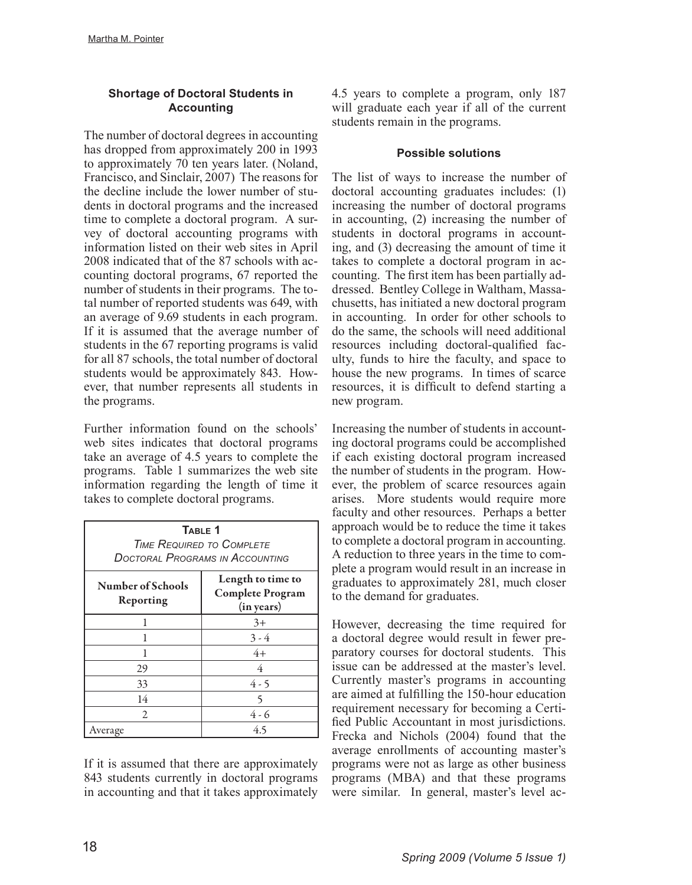#### **Shortage of Doctoral Students in Accounting**

The number of doctoral degrees in accounting has dropped from approximately 200 in 1993 to approximately 70 ten years later. (Noland, Francisco, and Sinclair, 2007) The reasons for the decline include the lower number of students in doctoral programs and the increased time to complete a doctoral program. A survey of doctoral accounting programs with information listed on their web sites in April 2008 indicated that of the 87 schools with accounting doctoral programs, 67 reported the number of students in their programs. The total number of reported students was 649, with an average of 9.69 students in each program. If it is assumed that the average number of students in the 67 reporting programs is valid for all 87 schools, the total number of doctoral students would be approximately 843. However, that number represents all students in the programs.

Further information found on the schools' web sites indicates that doctoral programs take an average of 4.5 years to complete the programs. Table 1 summarizes the web site information regarding the length of time it takes to complete doctoral programs.

| TABLE 1<br><b>TIME REQUIRED TO COMPLETE</b><br>DOCTORAL PROGRAMS IN ACCOUNTING |                                                            |
|--------------------------------------------------------------------------------|------------------------------------------------------------|
| Number of Schools<br>Reporting                                                 | Length to time to<br><b>Complete Program</b><br>(in years) |
|                                                                                | $3+$                                                       |
|                                                                                | $3 - 4$                                                    |
|                                                                                | $4+$                                                       |
| 29                                                                             | 4                                                          |
| 33                                                                             | $4 - 5$                                                    |
| 14                                                                             | 5                                                          |
| 2                                                                              | $4 - 6$                                                    |
| Average                                                                        | 4.5                                                        |

If it is assumed that there are approximately 843 students currently in doctoral programs in accounting and that it takes approximately

4.5 years to complete a program, only 187 will graduate each year if all of the current students remain in the programs.

#### **Possible solutions**

The list of ways to increase the number of doctoral accounting graduates includes: (1) increasing the number of doctoral programs in accounting, (2) increasing the number of students in doctoral programs in accounting, and (3) decreasing the amount of time it takes to complete a doctoral program in accounting. The first item has been partially addressed. Bentley College in Waltham, Massachusetts, has initiated a new doctoral program in accounting. In order for other schools to do the same, the schools will need additional resources including doctoral-qualified faculty, funds to hire the faculty, and space to house the new programs. In times of scarce resources, it is difficult to defend starting a new program.

Increasing the number of students in accounting doctoral programs could be accomplished if each existing doctoral program increased the number of students in the program. However, the problem of scarce resources again arises. More students would require more faculty and other resources. Perhaps a better approach would be to reduce the time it takes to complete a doctoral program in accounting. A reduction to three years in the time to complete a program would result in an increase in graduates to approximately 281, much closer to the demand for graduates.

However, decreasing the time required for a doctoral degree would result in fewer preparatory courses for doctoral students. This issue can be addressed at the master's level. Currently master's programs in accounting are aimed at fulfilling the 150-hour education requirement necessary for becoming a Certified Public Accountant in most jurisdictions. Frecka and Nichols (2004) found that the average enrollments of accounting master's programs were not as large as other business programs (MBA) and that these programs were similar. In general, master's level ac-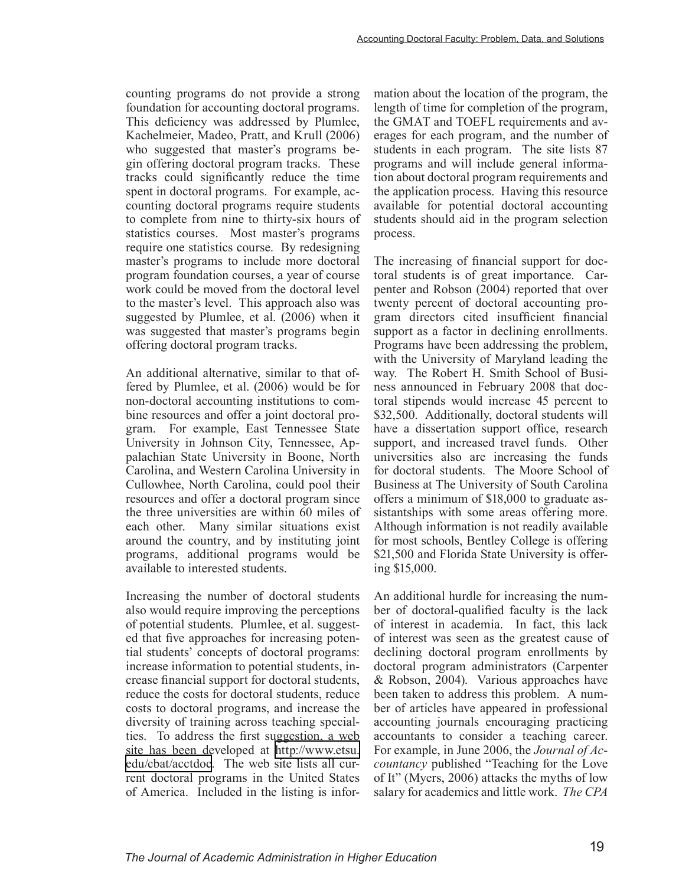counting programs do not provide a strong foundation for accounting doctoral programs. This deficiency was addressed by Plumlee, Kachelmeier, Madeo, Pratt, and Krull (2006) who suggested that master's programs begin offering doctoral program tracks. These tracks could significantly reduce the time spent in doctoral programs. For example, accounting doctoral programs require students to complete from nine to thirty-six hours of statistics courses. Most master's programs require one statistics course. By redesigning master's programs to include more doctoral program foundation courses, a year of course work could be moved from the doctoral level to the master's level. This approach also was suggested by Plumlee, et al. (2006) when it was suggested that master's programs begin offering doctoral program tracks.

An additional alternative, similar to that offered by Plumlee, et al. (2006) would be for non-doctoral accounting institutions to combine resources and offer a joint doctoral program. For example, East Tennessee State University in Johnson City, Tennessee, Appalachian State University in Boone, North Carolina, and Western Carolina University in Cullowhee, North Carolina, could pool their resources and offer a doctoral program since the three universities are within 60 miles of each other. Many similar situations exist around the country, and by instituting joint programs, additional programs would be available to interested students.

Increasing the number of doctoral students also would require improving the perceptions of potential students. Plumlee, et al. suggested that five approaches for increasing potential students' concepts of doctoral programs: increase information to potential students, increase financial support for doctoral students, reduce the costs for doctoral students, reduce costs to doctoral programs, and increase the diversity of training across teaching specialties. To address the first suggestion, a web site has been developed at [http://www.etsu.](http://www.etsu.edu/cbat/acctdoc) [edu/cbat/acctdoc.](http://www.etsu.edu/cbat/acctdoc) The web site lists all current doctoral programs in the United States of America. Included in the listing is information about the location of the program, the length of time for completion of the program, the GMAT and TOEFL requirements and averages for each program, and the number of students in each program. The site lists 87 programs and will include general information about doctoral program requirements and the application process. Having this resource available for potential doctoral accounting students should aid in the program selection process.

The increasing of financial support for doctoral students is of great importance. Carpenter and Robson (2004) reported that over twenty percent of doctoral accounting program directors cited insufficient financial support as a factor in declining enrollments. Programs have been addressing the problem, with the University of Maryland leading the way. The Robert H. Smith School of Business announced in February 2008 that doctoral stipends would increase 45 percent to \$32,500. Additionally, doctoral students will have a dissertation support office, research support, and increased travel funds. Other universities also are increasing the funds for doctoral students. The Moore School of Business at The University of South Carolina offers a minimum of \$18,000 to graduate assistantships with some areas offering more. Although information is not readily available for most schools, Bentley College is offering \$21,500 and Florida State University is offering \$15,000.

An additional hurdle for increasing the number of doctoral-qualified faculty is the lack of interest in academia. In fact, this lack of interest was seen as the greatest cause of declining doctoral program enrollments by doctoral program administrators (Carpenter & Robson, 2004). Various approaches have been taken to address this problem. A number of articles have appeared in professional accounting journals encouraging practicing accountants to consider a teaching career. For example, in June 2006, the *Journal of Accountancy* published "Teaching for the Love of It" (Myers, 2006) attacks the myths of low salary for academics and little work. *The CPA*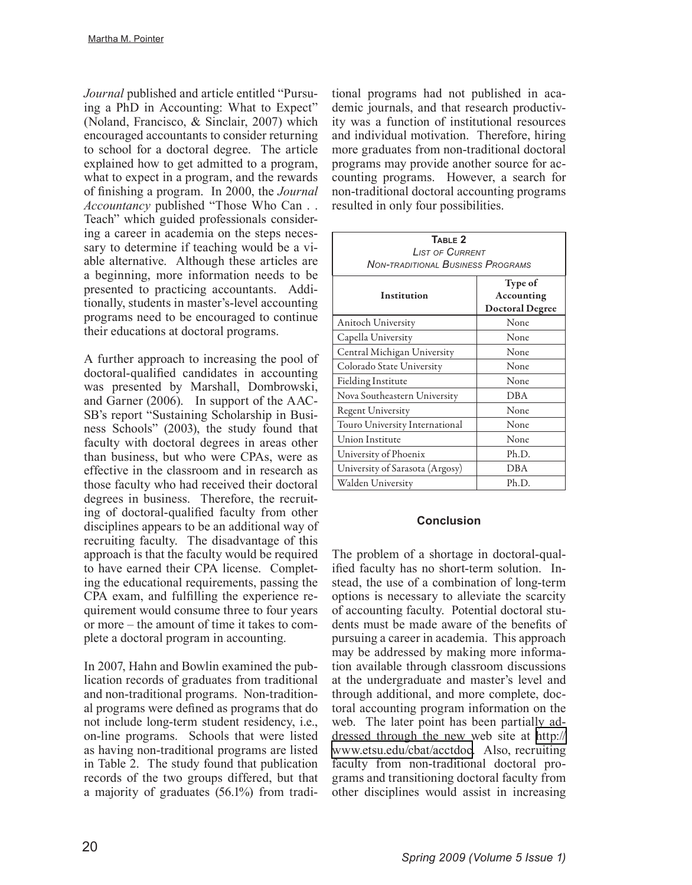*Journal* published and article entitled "Pursuing a PhD in Accounting: What to Expect" (Noland, Francisco, & Sinclair, 2007) which encouraged accountants to consider returning to school for a doctoral degree. The article explained how to get admitted to a program, what to expect in a program, and the rewards of finishing a program. In 2000, the *Journal Accountancy* published "Those Who Can . . Teach" which guided professionals considering a career in academia on the steps necessary to determine if teaching would be a viable alternative. Although these articles are a beginning, more information needs to be presented to practicing accountants. Additionally, students in master's-level accounting programs need to be encouraged to continue their educations at doctoral programs.

A further approach to increasing the pool of doctoral-qualified candidates in accounting was presented by Marshall, Dombrowski, and Garner (2006). In support of the AAC-SB's report "Sustaining Scholarship in Business Schools" (2003), the study found that faculty with doctoral degrees in areas other than business, but who were CPAs, were as effective in the classroom and in research as those faculty who had received their doctoral degrees in business. Therefore, the recruiting of doctoral-qualified faculty from other disciplines appears to be an additional way of recruiting faculty. The disadvantage of this approach is that the faculty would be required to have earned their CPA license. Completing the educational requirements, passing the CPA exam, and fulfilling the experience requirement would consume three to four years or more – the amount of time it takes to complete a doctoral program in accounting.

In 2007, Hahn and Bowlin examined the publication records of graduates from traditional and non-traditional programs. Non-traditional programs were defined as programs that do not include long-term student residency, i.e., on-line programs. Schools that were listed as having non-traditional programs are listed in Table 2. The study found that publication records of the two groups differed, but that a majority of graduates (56.1%) from tradi-

tional programs had not published in academic journals, and that research productivity was a function of institutional resources and individual motivation. Therefore, hiring more graduates from non-traditional doctoral programs may provide another source for accounting programs. However, a search for non-traditional doctoral accounting programs resulted in only four possibilities.

| TABLE <sub>2</sub><br><b>LIST OF CURRENT</b><br><b>NON-TRADITIONAL BUSINESS PROGRAMS</b> |                                                 |
|------------------------------------------------------------------------------------------|-------------------------------------------------|
| <b>Institution</b>                                                                       | Type of<br>Accounting<br><b>Doctoral Degree</b> |
| Anitoch University                                                                       | None                                            |
| Capella University                                                                       | None                                            |
| Central Michigan University                                                              | None                                            |
| Colorado State University                                                                | None                                            |
| <b>Fielding Institute</b>                                                                | None                                            |
| Nova Southeastern University                                                             | <b>DBA</b>                                      |
| <b>Regent University</b>                                                                 | None                                            |
| Touro University International                                                           | None                                            |
| <b>Union Institute</b>                                                                   | None                                            |
| University of Phoenix                                                                    | Ph.D.                                           |
| University of Sarasota (Argosy)                                                          | <b>DBA</b>                                      |
| Walden University                                                                        | Ph.D.                                           |

#### **Conclusion**

The problem of a shortage in doctoral-qualified faculty has no short-term solution. Instead, the use of a combination of long-term options is necessary to alleviate the scarcity of accounting faculty. Potential doctoral students must be made aware of the benefits of pursuing a career in academia. This approach may be addressed by making more information available through classroom discussions at the undergraduate and master's level and through additional, and more complete, doctoral accounting program information on the web. The later point has been partially addressed through the new web site at [http://](http://www.etsu.edu/cbat/acctdoc) [www.etsu.edu/cbat/acctdoc](http://www.etsu.edu/cbat/acctdoc). Also, recruiting faculty from non-traditional doctoral programs and transitioning doctoral faculty from other disciplines would assist in increasing